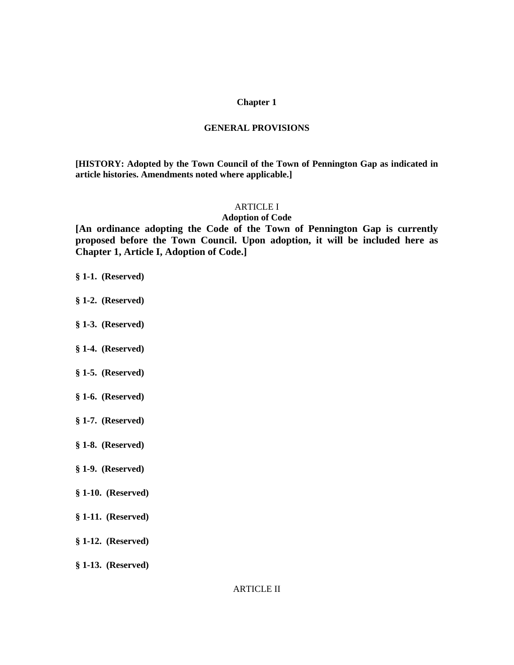#### **Chapter 1**

#### **GENERAL PROVISIONS**

**[HISTORY: Adopted by the Town Council of the Town of Pennington Gap as indicated in article histories. Amendments noted where applicable.]**

# ARTICLE I

## **Adoption of Code**

**[An ordinance adopting the Code of the Town of Pennington Gap is currently proposed before the Town Council. Upon adoption, it will be included here as Chapter 1, Article I, Adoption of Code.]**

#### **§ 1-1. (Reserved)**

- **§ 1-2. (Reserved)**
- **§ 1-3. (Reserved)**
- **§ 1-4. (Reserved)**
- **§ 1-5. (Reserved)**
- **§ 1-6. (Reserved)**
- **§ 1-7. (Reserved)**
- **§ 1-8. (Reserved)**
- **§ 1-9. (Reserved)**
- **§ 1-10. (Reserved)**
- **§ 1-11. (Reserved)**
- **§ 1-12. (Reserved)**
- **§ 1-13. (Reserved)**

ARTICLE II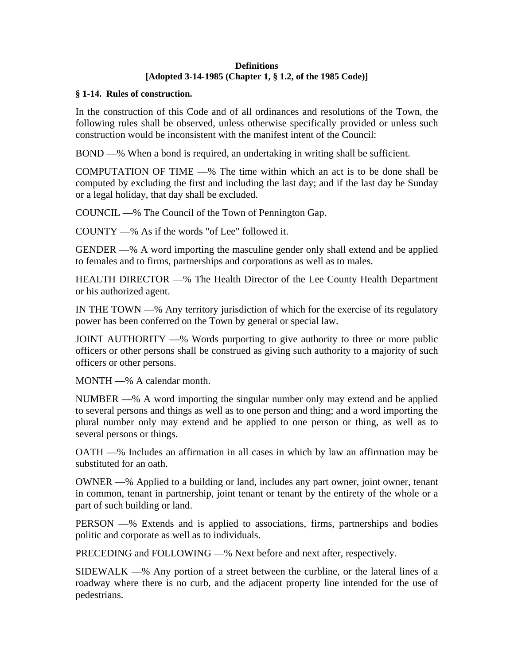### **Definitions [Adopted 3-14-1985 (Chapter 1, § 1.2, of the 1985 Code)]**

## **§ 1-14. Rules of construction.**

In the construction of this Code and of all ordinances and resolutions of the Town, the following rules shall be observed, unless otherwise specifically provided or unless such construction would be inconsistent with the manifest intent of the Council:

BOND —% When a bond is required, an undertaking in writing shall be sufficient.

COMPUTATION OF TIME —% The time within which an act is to be done shall be computed by excluding the first and including the last day; and if the last day be Sunday or a legal holiday, that day shall be excluded.

COUNCIL —% The Council of the Town of Pennington Gap.

COUNTY —% As if the words "of Lee" followed it.

GENDER —% A word importing the masculine gender only shall extend and be applied to females and to firms, partnerships and corporations as well as to males.

HEALTH DIRECTOR —% The Health Director of the Lee County Health Department or his authorized agent.

IN THE TOWN —% Any territory jurisdiction of which for the exercise of its regulatory power has been conferred on the Town by general or special law.

JOINT AUTHORITY —% Words purporting to give authority to three or more public officers or other persons shall be construed as giving such authority to a majority of such officers or other persons.

MONTH —% A calendar month.

NUMBER —% A word importing the singular number only may extend and be applied to several persons and things as well as to one person and thing; and a word importing the plural number only may extend and be applied to one person or thing, as well as to several persons or things.

OATH —% Includes an affirmation in all cases in which by law an affirmation may be substituted for an oath.

OWNER —% Applied to a building or land, includes any part owner, joint owner, tenant in common, tenant in partnership, joint tenant or tenant by the entirety of the whole or a part of such building or land.

PERSON —% Extends and is applied to associations, firms, partnerships and bodies politic and corporate as well as to individuals.

PRECEDING and FOLLOWING —% Next before and next after, respectively.

SIDEWALK —% Any portion of a street between the curbline, or the lateral lines of a roadway where there is no curb, and the adjacent property line intended for the use of pedestrians.